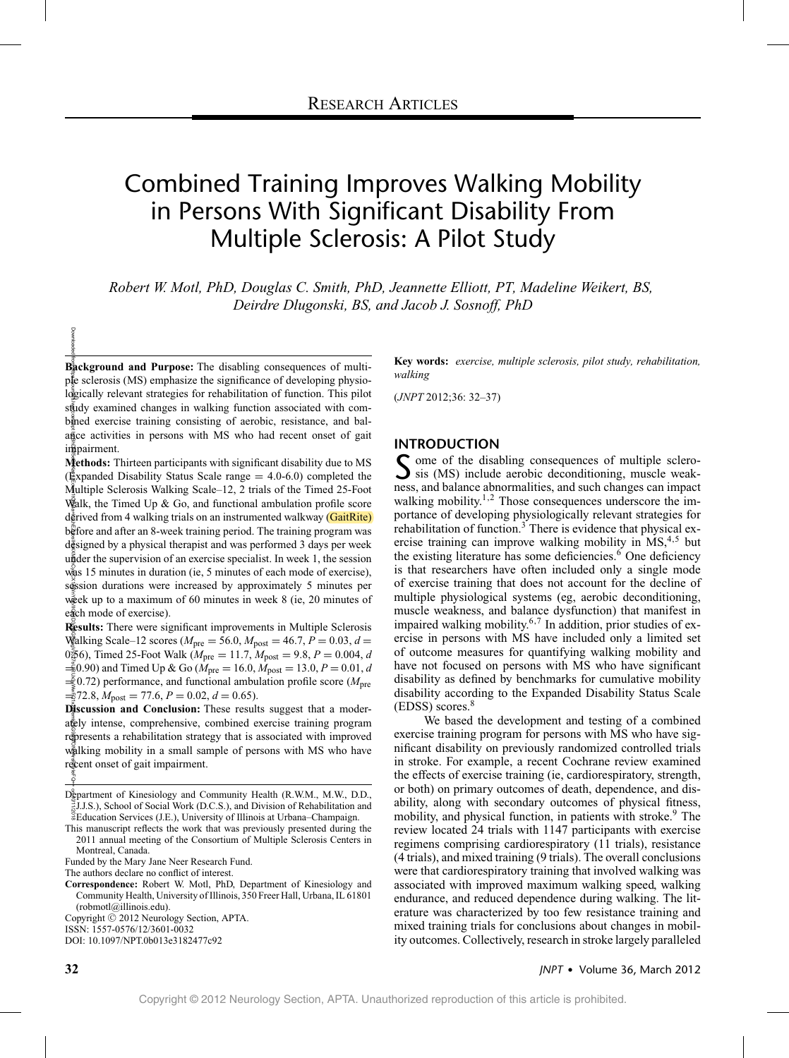# Combined Training Improves Walking Mobility in Persons With Significant Disability From Multiple Sclerosis: A Pilot Study

*Robert W. Motl, PhD, Douglas C. Smith, PhD, Jeannette Elliott, PT, Madeline Weikert, BS, Deirdre Dlugonski, BS, and Jacob J. Sosnoff, PhD*

 $B_2^{\frac{3}{2}}$ **ckground and Purpose:** The disabling consequences of multihttps://journals.lww.com/jnpt ance activities in persons with MS who had recent onset of gait ple sclerosis (MS) emphasize the significance of developing physiologically relevant strategies for rehabilitation of function. This pilot stady examined changes in walking function associated with combined exercise training consisting of aerobic, resistance, and balinapairment.

BhDMf4eFXAPHKav1zChN4a+kDHEZgbsIHO4XXMIDCy&CX1AWnYQp/ICQHD3gy8G9X827sUiRUx3yWwwFQ1xZhjemkZkG9m4ONAArsPPirleFQ= **Methods:** Thirteen participants with significant disability due to MS  $(\frac{R}{k})$ xpanded Disability Status Scale range = 4.0-6.0) completed the Multiple Sclerosis Walking Scale–12, 2 trials of the Timed 25-Foot Walk, the Timed Up & Go, and functional ambulation profile score derived from 4 walking trials on an instrumented walkway (GaitRite) before and after an 8-week training period. The training program was  $d\bar{\bar{g}}$  signed by a physical therapist and was performed 3 days per week  $u\ddot{\tilde{a}}$  der the supervision of an exercise specialist. In week 1, the session was 15 minutes in duration (ie, 5 minutes of each mode of exercise), session durations were increased by approximately 5 minutes per week up to a maximum of 60 minutes in week 8 (ie, 20 minutes of each mode of exercise).

**Results:** There were significant improvements in Multiple Sclerosis Walking Scale–12 scores ( $M_{\text{pre}} = 56.0$ ,  $M_{\text{post}} = 46.7$ ,  $P = 0.03$ ,  $d =$ 0 $\frac{5}{6}$ 6), Timed 25-Foot Walk ( $M_{\text{pre}} = 11.7$ ,  $M_{\text{post}} = 9.8$ ,  $P = 0.004$ , *d*  $\frac{1}{20}$ (90) and Timed Up & Go ( $M_{\text{pre}} = 16.0$ ,  $M_{\text{post}} = 13.0$ ,  $P = 0.01$ , *d* = 0.72) performance, and functional ambulation profile score (*M*pre  $\frac{1}{20}$ 72.8,  $M_{\text{post}} = 77.6, P = 0.02, d = 0.65$ .

**Discussion and Conclusion:** These results suggest that a moderately intense, comprehensive, combined exercise training program represents a rehabilitation strategy that is associated with improved walking mobility in a small sample of persons with MS who have recent onset of gait impairment.

Downloaded

Copyright © 2012 Neurology Section, APTA.

ISSN: 1557-0576/12/3601-0032

DOI: 10.1097/NPT.0b013e3182477c92

**Key words:** *exercise, multiple sclerosis, pilot study, rehabilitation, walking*

(*JNPT* 2012;36: 32–37)

## **INTRODUCTION**

 $\Gamma$  ome of the disabling consequences of multiple sclero- $\sum$  sis (MS) include aerobic deconditioning, muscle weakness, and balance abnormalities, and such changes can impact walking mobility.<sup>1,2</sup> Those consequences underscore the importance of developing physiologically relevant strategies for rehabilitation of function.<sup>3</sup> There is evidence that physical exercise training can improve walking mobility in  $MS$ ,<sup>4,5</sup> but the existing literature has some deficiencies. $6$  One deficiency is that researchers have often included only a single mode of exercise training that does not account for the decline of multiple physiological systems (eg, aerobic deconditioning, muscle weakness, and balance dysfunction) that manifest in impaired walking mobility. $6,7$  In addition, prior studies of exercise in persons with MS have included only a limited set of outcome measures for quantifying walking mobility and have not focused on persons with MS who have significant disability as defined by benchmarks for cumulative mobility disability according to the Expanded Disability Status Scale  $(EDSS)$  scores.<sup>8</sup>

We based the development and testing of a combined exercise training program for persons with MS who have significant disability on previously randomized controlled trials in stroke. For example, a recent Cochrane review examined the effects of exercise training (ie, cardiorespiratory, strength, or both) on primary outcomes of death, dependence, and disability, along with secondary outcomes of physical fitness, mobility, and physical function, in patients with stroke.<sup>9</sup> The review located 24 trials with 1147 participants with exercise regimens comprising cardiorespiratory (11 trials), resistance (4 trials), and mixed training (9 trials). The overall conclusions were that cardiorespiratory training that involved walking was associated with improved maximum walking speed, walking endurance, and reduced dependence during walking. The literature was characterized by too few resistance training and mixed training trials for conclusions about changes in mobility outcomes. Collectively, research in stroke largely paralleled

Department of Kinesiology and Community Health (R.W.M., M.W., D.D., 10/11/2018 J.J.S.), School of Social Work (D.C.S.), and Division of Rehabilitation and Education Services (J.E.), University of Illinois at Urbana–Champaign.

This manuscript reflects the work that was previously presented during the 2011 annual meeting of the Consortium of Multiple Sclerosis Centers in Montreal, Canada.

Funded by the Mary Jane Neer Research Fund.

The authors declare no conflict of interest.

**Correspondence:** Robert W. Motl, PhD, Department of Kinesiology and Community Health, University of Illinois, 350 Freer Hall, Urbana, IL 61801 (robmotl@illinois.edu).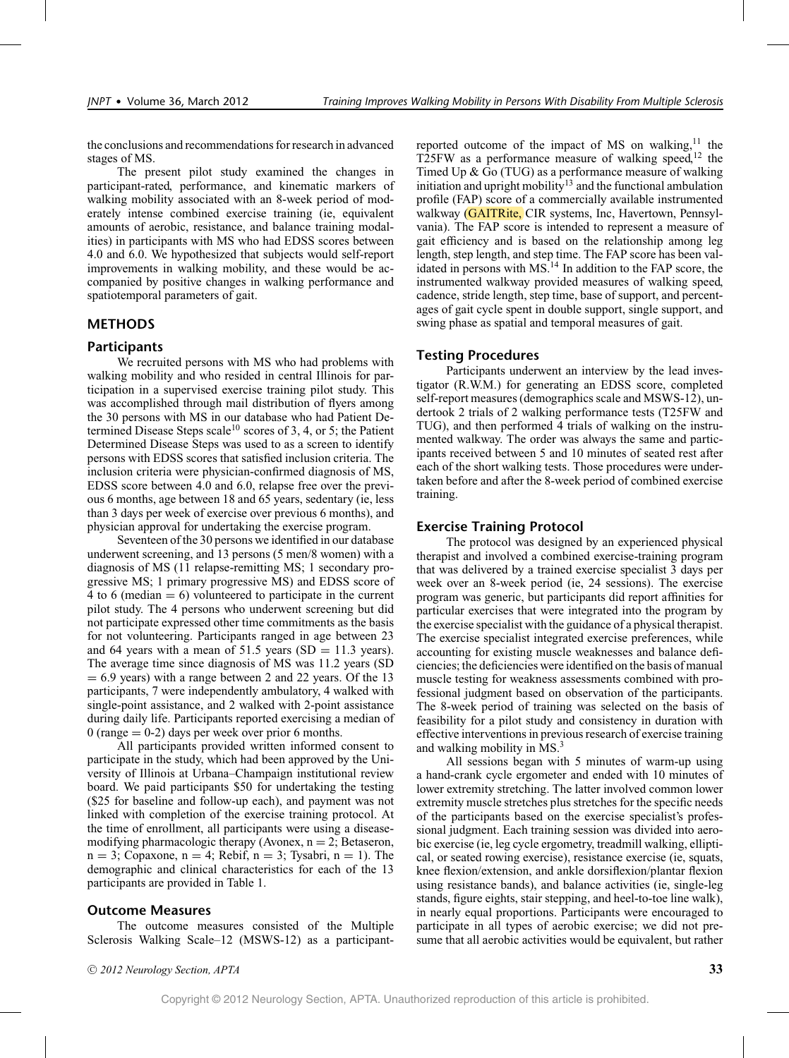the conclusions and recommendations for research in advanced stages of MS.

The present pilot study examined the changes in participant-rated, performance, and kinematic markers of walking mobility associated with an 8-week period of moderately intense combined exercise training (ie, equivalent amounts of aerobic, resistance, and balance training modalities) in participants with MS who had EDSS scores between 4.0 and 6.0. We hypothesized that subjects would self-report improvements in walking mobility, and these would be accompanied by positive changes in walking performance and spatiotemporal parameters of gait.

# **METHODS**

#### **Participants**

We recruited persons with MS who had problems with walking mobility and who resided in central Illinois for participation in a supervised exercise training pilot study. This was accomplished through mail distribution of flyers among the 30 persons with MS in our database who had Patient Determined Disease Steps scale<sup>10</sup> scores of 3, 4, or 5; the Patient Determined Disease Steps was used to as a screen to identify persons with EDSS scores that satisfied inclusion criteria. The inclusion criteria were physician-confirmed diagnosis of MS, EDSS score between 4.0 and 6.0, relapse free over the previous 6 months, age between 18 and 65 years, sedentary (ie, less than 3 days per week of exercise over previous 6 months), and physician approval for undertaking the exercise program.

Seventeen of the 30 persons we identified in our database underwent screening, and 13 persons (5 men/8 women) with a diagnosis of MS (11 relapse-remitting MS; 1 secondary progressive MS; 1 primary progressive MS) and EDSS score of 4 to 6 (median  $= 6$ ) volunteered to participate in the current pilot study. The 4 persons who underwent screening but did not participate expressed other time commitments as the basis for not volunteering. Participants ranged in age between 23 and 64 years with a mean of 51.5 years (SD =  $11.3$  years). The average time since diagnosis of MS was 11.2 years (SD  $= 6.9$  years) with a range between 2 and 22 years. Of the 13 participants, 7 were independently ambulatory, 4 walked with single-point assistance, and 2 walked with 2-point assistance during daily life. Participants reported exercising a median of  $0$  (range  $= 0-2$ ) days per week over prior 6 months.

All participants provided written informed consent to participate in the study, which had been approved by the University of Illinois at Urbana–Champaign institutional review board. We paid participants \$50 for undertaking the testing (\$25 for baseline and follow-up each), and payment was not linked with completion of the exercise training protocol. At the time of enrollment, all participants were using a diseasemodifying pharmacologic therapy (Avonex,  $n = 2$ ; Betaseron,  $n = 3$ ; Copaxone,  $n = 4$ ; Rebif,  $n = 3$ ; Tysabri,  $n = 1$ ). The demographic and clinical characteristics for each of the 13 participants are provided in Table 1.

#### **Outcome Measures**

The outcome measures consisted of the Multiple Sclerosis Walking Scale–12 (MSWS-12) as a participantreported outcome of the impact of MS on walking, $^{11}$  the T25FW as a performance measure of walking speed, $12$  the Timed Up & Go (TUG) as a performance measure of walking initiation and upright mobility<sup>13</sup> and the functional ambulation profile (FAP) score of a commercially available instrumented walkway (GAITRite, CIR systems, Inc, Havertown, Pennsylvania). The FAP score is intended to represent a measure of gait efficiency and is based on the relationship among leg length, step length, and step time. The FAP score has been validated in persons with  $MS<sup>14</sup>$  In addition to the FAP score, the instrumented walkway provided measures of walking speed, cadence, stride length, step time, base of support, and percentages of gait cycle spent in double support, single support, and swing phase as spatial and temporal measures of gait.

## **Testing Procedures**

Participants underwent an interview by the lead investigator (R.W.M.) for generating an EDSS score, completed self-report measures (demographics scale and MSWS-12), undertook 2 trials of 2 walking performance tests (T25FW and TUG), and then performed 4 trials of walking on the instrumented walkway. The order was always the same and participants received between 5 and 10 minutes of seated rest after each of the short walking tests. Those procedures were undertaken before and after the 8-week period of combined exercise training.

### **Exercise Training Protocol**

The protocol was designed by an experienced physical therapist and involved a combined exercise-training program that was delivered by a trained exercise specialist 3 days per week over an 8-week period (ie, 24 sessions). The exercise program was generic, but participants did report affinities for particular exercises that were integrated into the program by the exercise specialist with the guidance of a physical therapist. The exercise specialist integrated exercise preferences, while accounting for existing muscle weaknesses and balance deficiencies; the deficiencies were identified on the basis of manual muscle testing for weakness assessments combined with professional judgment based on observation of the participants. The 8-week period of training was selected on the basis of feasibility for a pilot study and consistency in duration with effective interventions in previous research of exercise training and walking mobility in MS.<sup>3</sup>

All sessions began with 5 minutes of warm-up using a hand-crank cycle ergometer and ended with 10 minutes of lower extremity stretching. The latter involved common lower extremity muscle stretches plus stretches for the specific needs of the participants based on the exercise specialist's professional judgment. Each training session was divided into aerobic exercise (ie, leg cycle ergometry, treadmill walking, elliptical, or seated rowing exercise), resistance exercise (ie, squats, knee flexion/extension, and ankle dorsiflexion/plantar flexion using resistance bands), and balance activities (ie, single-leg stands, figure eights, stair stepping, and heel-to-toe line walk), in nearly equal proportions. Participants were encouraged to participate in all types of aerobic exercise; we did not presume that all aerobic activities would be equivalent, but rather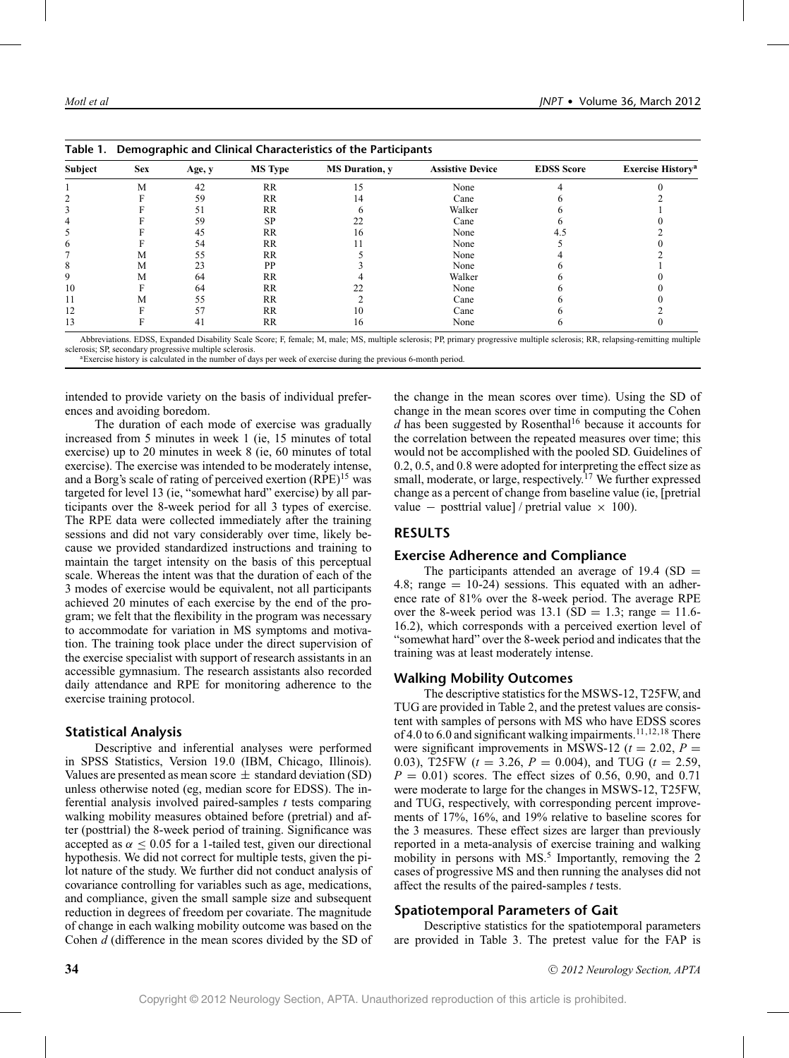| Subject | <b>Sex</b> | Age, y | <b>MS Type</b> | <b>MS</b> Duration, y | <b>Assistive Device</b> | <b>EDSS</b> Score | <b>Exercise History<sup>a</sup></b> |
|---------|------------|--------|----------------|-----------------------|-------------------------|-------------------|-------------------------------------|
|         | M          | 42     | RR             |                       | None                    |                   |                                     |
|         |            | 59     | RR             | 14                    | Cane                    |                   |                                     |
|         |            | 51     | RR             |                       | Walker                  |                   |                                     |
|         |            | 59     | SP             |                       | Cane                    |                   |                                     |
|         |            | 45     | <b>RR</b>      | Iб                    | None                    | 4.5               |                                     |
| 6       |            | 54     | RR             |                       | None                    |                   |                                     |
|         | М          | 55     | RR             |                       | None                    |                   |                                     |
|         | М          | 23     | PP             |                       | None                    |                   |                                     |
| 9       | М          | 64     | <b>RR</b>      |                       | Walker                  |                   |                                     |
| 10      |            | 64     | <b>RR</b>      |                       | None                    |                   |                                     |
|         | М          | 55     | RR             |                       | Cane                    |                   |                                     |
| 12      |            | 57     | <b>RR</b>      |                       | Cane                    |                   |                                     |
| 13      |            | 41     | RR             | 16                    | None                    |                   |                                     |

|  | Table 1. Demographic and Clinical Characteristics of the Participants |  |  |  |
|--|-----------------------------------------------------------------------|--|--|--|
|--|-----------------------------------------------------------------------|--|--|--|

Abbreviations. EDSS, Expanded Disability Scale Score; F, female; M, male; MS, multiple sclerosis; PP, primary progressive multiple sclerosis; RR, relapsing-remitting multiple

sclerosis; SP, secondary progressive multiple sclerosis.<br>aExercise history is calculated in the number of days per week of exercise during the previous 6-month period.

intended to provide variety on the basis of individual preferences and avoiding boredom.

The duration of each mode of exercise was gradually increased from 5 minutes in week 1 (ie, 15 minutes of total exercise) up to 20 minutes in week 8 (ie, 60 minutes of total exercise). The exercise was intended to be moderately intense, and a Borg's scale of rating of perceived exertion  $(RPE)^{15}$  was targeted for level 13 (ie, "somewhat hard" exercise) by all participants over the 8-week period for all 3 types of exercise. The RPE data were collected immediately after the training sessions and did not vary considerably over time, likely because we provided standardized instructions and training to maintain the target intensity on the basis of this perceptual scale. Whereas the intent was that the duration of each of the 3 modes of exercise would be equivalent, not all participants achieved 20 minutes of each exercise by the end of the program; we felt that the flexibility in the program was necessary to accommodate for variation in MS symptoms and motivation. The training took place under the direct supervision of the exercise specialist with support of research assistants in an accessible gymnasium. The research assistants also recorded daily attendance and RPE for monitoring adherence to the exercise training protocol.

### **Statistical Analysis**

Descriptive and inferential analyses were performed in SPSS Statistics, Version 19.0 (IBM, Chicago, Illinois). Values are presented as mean score  $\pm$  standard deviation (SD) unless otherwise noted (eg, median score for EDSS). The inferential analysis involved paired-samples *t* tests comparing walking mobility measures obtained before (pretrial) and after (posttrial) the 8-week period of training. Significance was accepted as  $\alpha \leq 0.05$  for a 1-tailed test, given our directional hypothesis. We did not correct for multiple tests, given the pilot nature of the study. We further did not conduct analysis of covariance controlling for variables such as age, medications, and compliance, given the small sample size and subsequent reduction in degrees of freedom per covariate. The magnitude of change in each walking mobility outcome was based on the Cohen *d* (difference in the mean scores divided by the SD of the change in the mean scores over time). Using the SD of change in the mean scores over time in computing the Cohen  $d$  has been suggested by Rosenthal<sup>16</sup> because it accounts for the correlation between the repeated measures over time; this would not be accomplished with the pooled SD. Guidelines of 0.2, 0.5, and 0.8 were adopted for interpreting the effect size as small, moderate, or large, respectively.<sup>17</sup> We further expressed change as a percent of change from baseline value (ie, [pretrial value – posttrial value] / pretrial value  $\times$  100).

## **RESULTS**

#### **Exercise Adherence and Compliance**

The participants attended an average of 19.4 (SD  $=$ 4.8; range  $= 10-24$ ) sessions. This equated with an adherence rate of 81% over the 8-week period. The average RPE over the 8-week period was 13.1 (SD = 1.3; range = 11.6-16.2), which corresponds with a perceived exertion level of "somewhat hard" over the 8-week period and indicates that the training was at least moderately intense.

#### **Walking Mobility Outcomes**

The descriptive statistics for the MSWS-12, T25FW, and TUG are provided in Table 2, and the pretest values are consistent with samples of persons with MS who have EDSS scores of 4.0 to 6.0 and significant walking impairments.<sup>11,12,18</sup> There were significant improvements in MSWS-12 ( $t = 2.02$ ,  $P =$ 0.03), T25FW (*t* = 3.26, *P* = 0.004), and TUG (*t* = 2.59,  $P = 0.01$ ) scores. The effect sizes of 0.56, 0.90, and 0.71 were moderate to large for the changes in MSWS-12, T25FW, and TUG, respectively, with corresponding percent improvements of 17%, 16%, and 19% relative to baseline scores for the 3 measures. These effect sizes are larger than previously reported in a meta-analysis of exercise training and walking mobility in persons with  $MS<sup>5</sup>$  Importantly, removing the 2 cases of progressive MS and then running the analyses did not affect the results of the paired-samples *t* tests.

### **Spatiotemporal Parameters of Gait**

Descriptive statistics for the spatiotemporal parameters are provided in Table 3. The pretest value for the FAP is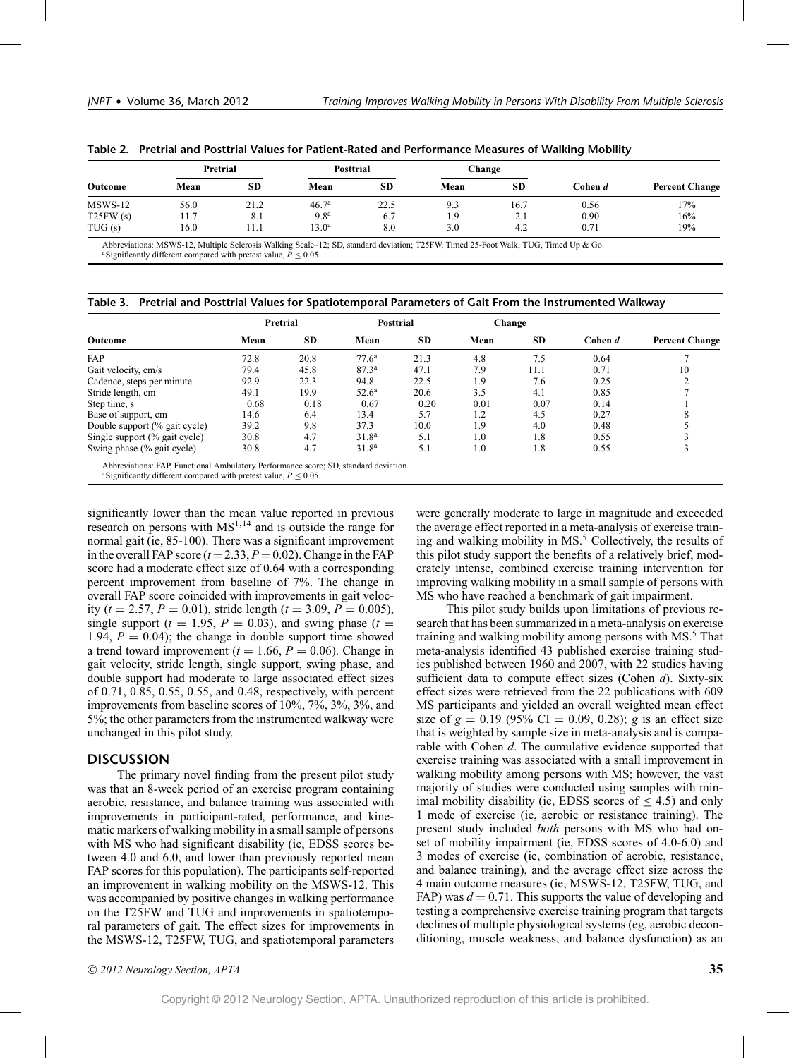| Outcome  | Pretrial |           | <b>Posttrial</b>  |           | Change |           |         |                       |
|----------|----------|-----------|-------------------|-----------|--------|-----------|---------|-----------------------|
|          | Mean     | <b>SD</b> | Mean              | <b>SD</b> | Mean   | <b>SD</b> | Cohen d | <b>Percent Change</b> |
| MSWS-12  | 56.0     | 21.2      | 46.7 <sup>a</sup> | 22.5      | 9.3    | 16.7      | 0.56    | 17%                   |
| T25FW(s) | 11.7     | 8.1       | 9.8 <sup>a</sup>  | 6.7       | 1.9    | 2.1       | 0.90    | 16%                   |
| TUG(s)   | 16.0     | 11.1      | $13.0^{\rm a}$    | 8.0       | 3.0    | 4.2       | 0.71    | 19%                   |

| Table 2. Pretrial and Posttrial Values for Patient-Rated and Performance Measures of Walking Mobility |  |
|-------------------------------------------------------------------------------------------------------|--|
|-------------------------------------------------------------------------------------------------------|--|

Abbreviations: MSWS-12, Multiple Sclerosis Walking Scale–12; SD, standard deviation; T25FW, Timed 25-Foot Walk; TUG, Timed Up & Go. <sup>a</sup>Significantly different compared with pretest value,  $P \le 0.05$ .

|  |  |  |  | Table 3. Pretrial and Posttrial Values for Spatiotemporal Parameters of Gait From the Instrumented Walkway |
|--|--|--|--|------------------------------------------------------------------------------------------------------------|
|--|--|--|--|------------------------------------------------------------------------------------------------------------|

|                               | Pretrial |           | Posttrial         |      | Change |           |         |                       |
|-------------------------------|----------|-----------|-------------------|------|--------|-----------|---------|-----------------------|
| Outcome                       | Mean     | <b>SD</b> | Mean              | SD.  | Mean   | <b>SD</b> | Cohen d | <b>Percent Change</b> |
| FAP                           | 72.8     | 20.8      | 77.6 <sup>a</sup> | 21.3 | 4.8    | 7.5       | 0.64    |                       |
| Gait velocity, cm/s           | 79.4     | 45.8      | 87.3 <sup>a</sup> | 47.1 | 7.9    | 11.1      | 0.71    | 10                    |
| Cadence, steps per minute     | 92.9     | 22.3      | 94.8              | 22.5 | 1.9    | 7.6       | 0.25    |                       |
| Stride length, cm             | 49.1     | 19.9      | $52.6^{\rm a}$    | 20.6 | 3.5    | 4.1       | 0.85    |                       |
| Step time, s                  | 0.68     | 0.18      | 0.67              | 0.20 | 0.01   | 0.07      | 0.14    |                       |
| Base of support, cm           | 14.6     | 6.4       | 13.4              | 5.7  | 1.2    | 4.5       | 0.27    |                       |
| Double support (% gait cycle) | 39.2     | 9.8       | 37.3              | 10.0 | 1.9    | 4.0       | 0.48    |                       |
| Single support (% gait cycle) | 30.8     | 4.7       | 31.8 <sup>a</sup> | 5.1  | 1.0    | 1.8       | 0.55    |                       |
| Swing phase (% gait cycle)    | 30.8     | 4.7       | 31.8 <sup>a</sup> | 5.1  | 1.0    | 1.8       | 0.55    |                       |

Significantly different compared with pretest value,  $P \leq 0.05$ .

significantly lower than the mean value reported in previous research on persons with  $MS<sup>1,14</sup>$  and is outside the range for normal gait (ie, 85-100). There was a significant improvement in the overall FAP score  $(t=2.33, P=0.02)$ . Change in the FAP score had a moderate effect size of 0.64 with a corresponding percent improvement from baseline of 7%. The change in overall FAP score coincided with improvements in gait velocity ( $t = 2.57$ ,  $P = 0.01$ ), stride length ( $t = 3.09$ ,  $P = 0.005$ ), single support ( $t = 1.95$ ,  $P = 0.03$ ), and swing phase ( $t =$ 1.94,  $P = 0.04$ ); the change in double support time showed a trend toward improvement ( $t = 1.66$ ,  $P = 0.06$ ). Change in gait velocity, stride length, single support, swing phase, and double support had moderate to large associated effect sizes of 0.71, 0.85, 0.55, 0.55, and 0.48, respectively, with percent improvements from baseline scores of 10%, 7%, 3%, 3%, and 5%; the other parameters from the instrumented walkway were unchanged in this pilot study.

## **DISCUSSION**

The primary novel finding from the present pilot study was that an 8-week period of an exercise program containing aerobic, resistance, and balance training was associated with improvements in participant-rated, performance, and kinematic markers of walking mobility in a small sample of persons with MS who had significant disability (ie, EDSS scores between 4.0 and 6.0, and lower than previously reported mean FAP scores for this population). The participants self-reported an improvement in walking mobility on the MSWS-12. This was accompanied by positive changes in walking performance on the T25FW and TUG and improvements in spatiotemporal parameters of gait. The effect sizes for improvements in the MSWS-12, T25FW, TUG, and spatiotemporal parameters were generally moderate to large in magnitude and exceeded the average effect reported in a meta-analysis of exercise training and walking mobility in MS.<sup>5</sup> Collectively, the results of this pilot study support the benefits of a relatively brief, moderately intense, combined exercise training intervention for improving walking mobility in a small sample of persons with MS who have reached a benchmark of gait impairment.

This pilot study builds upon limitations of previous research that has been summarized in a meta-analysis on exercise training and walking mobility among persons with MS.<sup>5</sup> That meta-analysis identified 43 published exercise training studies published between 1960 and 2007, with 22 studies having sufficient data to compute effect sizes (Cohen *d*). Sixty-six effect sizes were retrieved from the 22 publications with 609 MS participants and yielded an overall weighted mean effect size of  $g = 0.19$  (95% CI = 0.09, 0.28); *g* is an effect size that is weighted by sample size in meta-analysis and is comparable with Cohen *d*. The cumulative evidence supported that exercise training was associated with a small improvement in walking mobility among persons with MS; however, the vast majority of studies were conducted using samples with minimal mobility disability (ie, EDSS scores of  $\leq$  4.5) and only 1 mode of exercise (ie, aerobic or resistance training). The present study included *both* persons with MS who had onset of mobility impairment (ie, EDSS scores of 4.0-6.0) and 3 modes of exercise (ie, combination of aerobic, resistance, and balance training), and the average effect size across the 4 main outcome measures (ie, MSWS-12, T25FW, TUG, and FAP) was  $d = 0.71$ . This supports the value of developing and testing a comprehensive exercise training program that targets declines of multiple physiological systems (eg, aerobic deconditioning, muscle weakness, and balance dysfunction) as an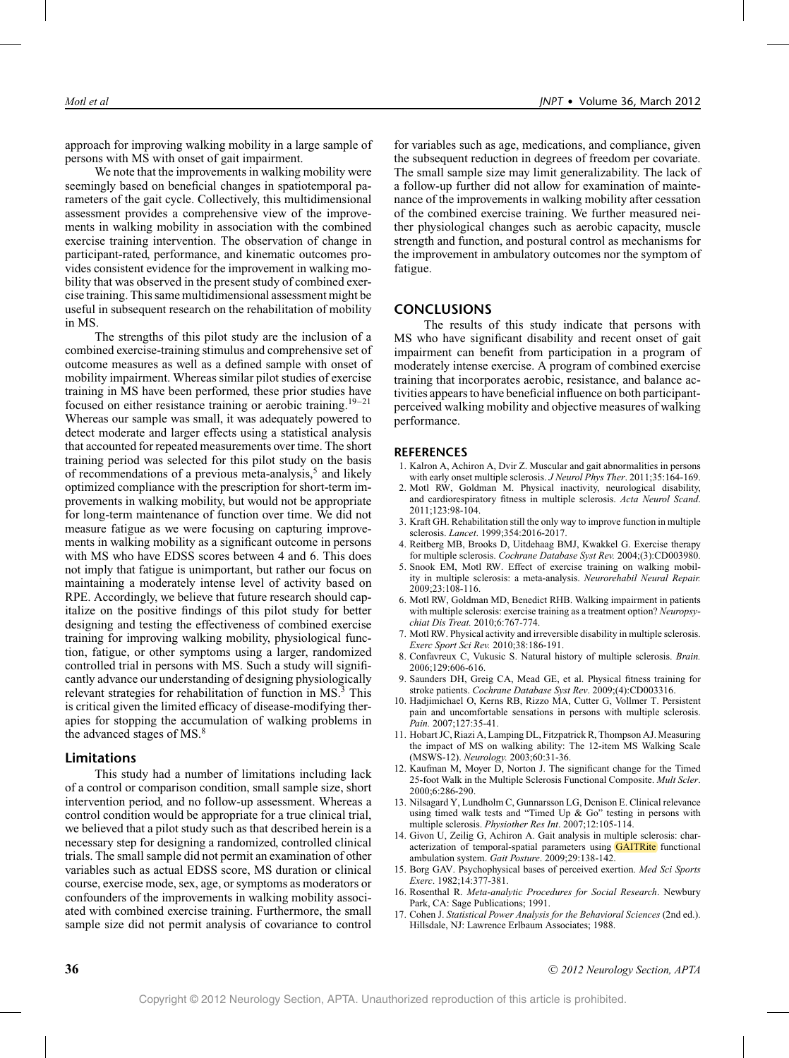approach for improving walking mobility in a large sample of persons with MS with onset of gait impairment.

We note that the improvements in walking mobility were seemingly based on beneficial changes in spatiotemporal parameters of the gait cycle. Collectively, this multidimensional assessment provides a comprehensive view of the improvements in walking mobility in association with the combined exercise training intervention. The observation of change in participant-rated, performance, and kinematic outcomes provides consistent evidence for the improvement in walking mobility that was observed in the present study of combined exercise training. This same multidimensional assessment might be useful in subsequent research on the rehabilitation of mobility in MS.

The strengths of this pilot study are the inclusion of a combined exercise-training stimulus and comprehensive set of outcome measures as well as a defined sample with onset of mobility impairment. Whereas similar pilot studies of exercise training in MS have been performed, these prior studies have focused on either resistance training or aerobic training.<sup>19–21</sup> Whereas our sample was small, it was adequately powered to detect moderate and larger effects using a statistical analysis that accounted for repeated measurements over time. The short training period was selected for this pilot study on the basis of recommendations of a previous meta-analysis,<sup>5</sup> and likely optimized compliance with the prescription for short-term improvements in walking mobility, but would not be appropriate for long-term maintenance of function over time. We did not measure fatigue as we were focusing on capturing improvements in walking mobility as a significant outcome in persons with MS who have EDSS scores between 4 and 6. This does not imply that fatigue is unimportant, but rather our focus on maintaining a moderately intense level of activity based on RPE. Accordingly, we believe that future research should capitalize on the positive findings of this pilot study for better designing and testing the effectiveness of combined exercise training for improving walking mobility, physiological function, fatigue, or other symptoms using a larger, randomized controlled trial in persons with MS. Such a study will significantly advance our understanding of designing physiologically relevant strategies for rehabilitation of function in MS.<sup>3</sup> This is critical given the limited efficacy of disease-modifying therapies for stopping the accumulation of walking problems in the advanced stages of MS.<sup>8</sup>

## **Limitations**

This study had a number of limitations including lack of a control or comparison condition, small sample size, short intervention period, and no follow-up assessment. Whereas a control condition would be appropriate for a true clinical trial, we believed that a pilot study such as that described herein is a necessary step for designing a randomized, controlled clinical trials. The small sample did not permit an examination of other variables such as actual EDSS score, MS duration or clinical course, exercise mode, sex, age, or symptoms as moderators or confounders of the improvements in walking mobility associated with combined exercise training. Furthermore, the small sample size did not permit analysis of covariance to control

for variables such as age, medications, and compliance, given the subsequent reduction in degrees of freedom per covariate. The small sample size may limit generalizability. The lack of a follow-up further did not allow for examination of maintenance of the improvements in walking mobility after cessation of the combined exercise training. We further measured neither physiological changes such as aerobic capacity, muscle strength and function, and postural control as mechanisms for the improvement in ambulatory outcomes nor the symptom of fatigue.

## **CONCLUSIONS**

The results of this study indicate that persons with MS who have significant disability and recent onset of gait impairment can benefit from participation in a program of moderately intense exercise. A program of combined exercise training that incorporates aerobic, resistance, and balance activities appears to have beneficial influence on both participantperceived walking mobility and objective measures of walking performance.

#### **REFERENCES**

- 1. Kalron A, Achiron A, Dvir Z. Muscular and gait abnormalities in persons with early onset multiple sclerosis. *J Neurol Phys Ther*. 2011;35:164-169.
- 2. Motl RW, Goldman M. Physical inactivity, neurological disability, and cardiorespiratory fitness in multiple sclerosis. *Acta Neurol Scand*. 2011;123:98-104.
- 3. Kraft GH. Rehabilitation still the only way to improve function in multiple sclerosis. *Lancet*. 1999;354:2016-2017.
- 4. Reitberg MB, Brooks D, Uitdehaag BMJ, Kwakkel G. Exercise therapy for multiple sclerosis. *Cochrane Database Syst Rev.* 2004;(3):CD003980.
- 5. Snook EM, Motl RW. Effect of exercise training on walking mobility in multiple sclerosis: a meta-analysis. *Neurorehabil Neural Repair.* 2009;23:108-116.
- 6. Motl RW, Goldman MD, Benedict RHB. Walking impairment in patients with multiple sclerosis: exercise training as a treatment option? *Neuropsychiat Dis Treat.* 2010;6:767-774.
- 7. Motl RW. Physical activity and irreversible disability in multiple sclerosis. *Exerc Sport Sci Rev.* 2010;38:186-191.
- 8. Confavreux C, Vukusic S. Natural history of multiple sclerosis. *Brain.* 2006;129:606-616.
- 9. Saunders DH, Greig CA, Mead GE, et al. Physical fitness training for stroke patients. *Cochrane Database Syst Rev*. 2009;(4):CD003316.
- 10. Hadjimichael O, Kerns RB, Rizzo MA, Cutter G, Vollmer T. Persistent pain and uncomfortable sensations in persons with multiple sclerosis. *Pain.* 2007;127:35-41.
- 11. Hobart JC, Riazi A, Lamping DL, Fitzpatrick R, Thompson AJ. Measuring the impact of MS on walking ability: The 12-item MS Walking Scale (MSWS-12). *Neurology.* 2003;60:31-36.
- 12. Kaufman M, Moyer D, Norton J. The significant change for the Timed 25-foot Walk in the Multiple Sclerosis Functional Composite. *Mult Scler*. 2000;6:286-290.
- 13. Nilsagard Y, Lundholm C, Gunnarsson LG, Dcnison E. Clinical relevance using timed walk tests and "Timed Up & Go" testing in persons with multiple sclerosis. *Physiother Res Int*. 2007;12:105-114.
- 14. Givon U, Zeilig G, Achiron A. Gait analysis in multiple sclerosis: characterization of temporal-spatial parameters using GAITRite functional ambulation system. *Gait Posture*. 2009;29:138-142.
- 15. Borg GAV. Psychophysical bases of perceived exertion. *Med Sci Sports Exerc*. 1982;14:377-381.
- 16. Rosenthal R. *Meta-analytic Procedures for Social Research*. Newbury Park, CA: Sage Publications; 1991.
- 17. Cohen J. *Statistical Power Analysis for the Behavioral Sciences* (2nd ed.). Hillsdale, NJ: Lawrence Erlbaum Associates; 1988.